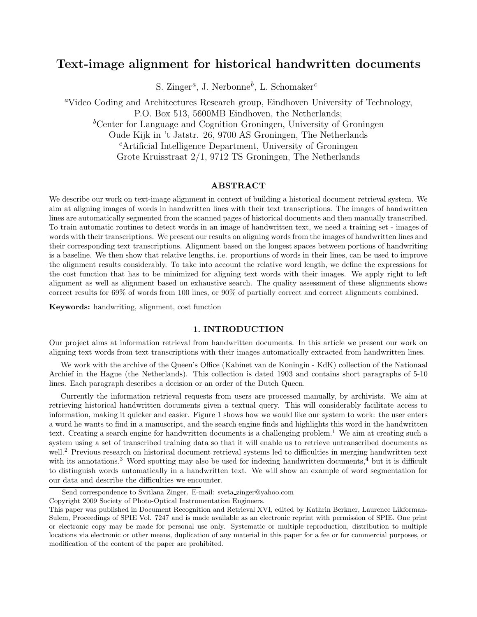# Text-image alignment for historical handwritten documents

S. Zinger<sup>*a*</sup>, J. Nerbonne<sup>*b*</sup>, L. Schomaker<sup>*c*</sup>

<sup>a</sup>Video Coding and Architectures Research group, Eindhoven University of Technology, P.O. Box 513, 5600MB Eindhoven, the Netherlands; <sup>b</sup>Center for Language and Cognition Groningen, University of Groningen Oude Kijk in 't Jatstr. 26, 9700 AS Groningen, The Netherlands  ${}^c$ Artificial Intelligence Department, University of Groningen Grote Kruisstraat 2/1, 9712 TS Groningen, The Netherlands

## ABSTRACT

We describe our work on text-image alignment in context of building a historical document retrieval system. We aim at aligning images of words in handwritten lines with their text transcriptions. The images of handwritten lines are automatically segmented from the scanned pages of historical documents and then manually transcribed. To train automatic routines to detect words in an image of handwritten text, we need a training set - images of words with their transcriptions. We present our results on aligning words from the images of handwritten lines and their corresponding text transcriptions. Alignment based on the longest spaces between portions of handwriting is a baseline. We then show that relative lengths, i.e. proportions of words in their lines, can be used to improve the alignment results considerably. To take into account the relative word length, we define the expressions for the cost function that has to be minimized for aligning text words with their images. We apply right to left alignment as well as alignment based on exhaustive search. The quality assessment of these alignments shows correct results for 69% of words from 100 lines, or 90% of partially correct and correct alignments combined.

Keywords: handwriting, alignment, cost function

## 1. INTRODUCTION

Our project aims at information retrieval from handwritten documents. In this article we present our work on aligning text words from text transcriptions with their images automatically extracted from handwritten lines.

We work with the archive of the Queen's Office (Kabinet van de Koningin - KdK) collection of the Nationaal Archief in the Hague (the Netherlands). This collection is dated 1903 and contains short paragraphs of 5-10 lines. Each paragraph describes a decision or an order of the Dutch Queen.

Currently the information retrieval requests from users are processed manually, by archivists. We aim at retrieving historical handwritten documents given a textual query. This will considerably facilitate access to information, making it quicker and easier. Figure 1 shows how we would like our system to work: the user enters a word he wants to find in a manuscript, and the search engine finds and highlights this word in the handwritten text. Creating a search engine for handwritten documents is a challenging problem.<sup>1</sup> We aim at creating such a system using a set of transcribed training data so that it will enable us to retrieve untranscribed documents as well.<sup>2</sup> Previous research on historical document retrieval systems led to difficulties in merging handwritten text with its annotations.<sup>3</sup> Word spotting may also be used for indexing handwritten documents,<sup>4</sup> but it is difficult to distinguish words automatically in a handwritten text. We will show an example of word segmentation for our data and describe the difficulties we encounter.

Send correspondence to Svitlana Zinger. E-mail: sveta zinger@yahoo.com

Copyright 2009 Society of Photo-Optical Instrumentation Engineers.

This paper was published in Document Recognition and Retrieval XVI, edited by Kathrin Berkner, Laurence Likforman-Sulem, Proceedings of SPIE Vol. 7247 and is made available as an electronic reprint with permission of SPIE. One print or electronic copy may be made for personal use only. Systematic or multiple reproduction, distribution to multiple locations via electronic or other means, duplication of any material in this paper for a fee or for commercial purposes, or modification of the content of the paper are prohibited.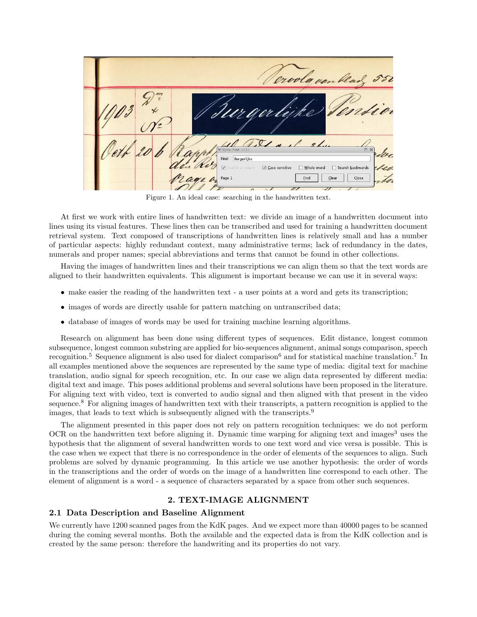| croolg van blad 550                                                                                                                                                                                                                                  |
|------------------------------------------------------------------------------------------------------------------------------------------------------------------------------------------------------------------------------------------------------|
| ive<br>Ur gerleg                                                                                                                                                                                                                                     |
| $\blacktriangleright$ DjVu: Find <15><br>$\Box$ $\times$<br>Find: Burgerlijke<br>efer.<br>Search backwards<br>Search all pages<br>$\sqrt{2}$ Case sensitive<br>Whole word<br>Mage a<br>Page 1<br>$C$ lear<br>Close<br>Eind<br>$\prime$<br>$\sqrt{2}$ |

Figure 1. An ideal case: searching in the handwritten text.

At first we work with entire lines of handwritten text: we divide an image of a handwritten document into lines using its visual features. These lines then can be transcribed and used for training a handwritten document retrieval system. Text composed of transcriptions of handwritten lines is relatively small and has a number of particular aspects: highly redundant context, many administrative terms; lack of redundancy in the dates, numerals and proper names; special abbreviations and terms that cannot be found in other collections.

Having the images of handwritten lines and their transcriptions we can align them so that the text words are aligned to their handwritten equivalents. This alignment is important because we can use it in several ways:

- make easier the reading of the handwritten text a user points at a word and gets its transcription;
- images of words are directly usable for pattern matching on untranscribed data;
- database of images of words may be used for training machine learning algorithms.

Research on alignment has been done using different types of sequences. Edit distance, longest common subsequence, longest common substring are applied for bio-sequences alignment, animal songs comparison, speech recognition.<sup>5</sup> Sequence alignment is also used for dialect comparison<sup>6</sup> and for statistical machine translation.<sup>7</sup> In all examples mentioned above the sequences are represented by the same type of media: digital text for machine translation, audio signal for speech recognition, etc. In our case we align data represented by different media: digital text and image. This poses additional problems and several solutions have been proposed in the literature. For aligning text with video, text is converted to audio signal and then aligned with that present in the video sequence.<sup>8</sup> For aligning images of handwritten text with their transcripts, a pattern recognition is applied to the images, that leads to text which is subsequently aligned with the transcripts.<sup>9</sup>

The alignment presented in this paper does not rely on pattern recognition techniques: we do not perform OCR on the handwritten text before aligning it. Dynamic time warping for aligning text and images<sup>3</sup> uses the hypothesis that the alignment of several handwritten words to one text word and vice versa is possible. This is the case when we expect that there is no correspondence in the order of elements of the sequences to align. Such problems are solved by dynamic programming. In this article we use another hypothesis: the order of words in the transcriptions and the order of words on the image of a handwritten line correspond to each other. The element of alignment is a word - a sequence of characters separated by a space from other such sequences.

## 2. TEXT-IMAGE ALIGNMENT

## 2.1 Data Description and Baseline Alignment

We currently have 1200 scanned pages from the KdK pages. And we expect more than 40000 pages to be scanned during the coming several months. Both the available and the expected data is from the KdK collection and is created by the same person: therefore the handwriting and its properties do not vary.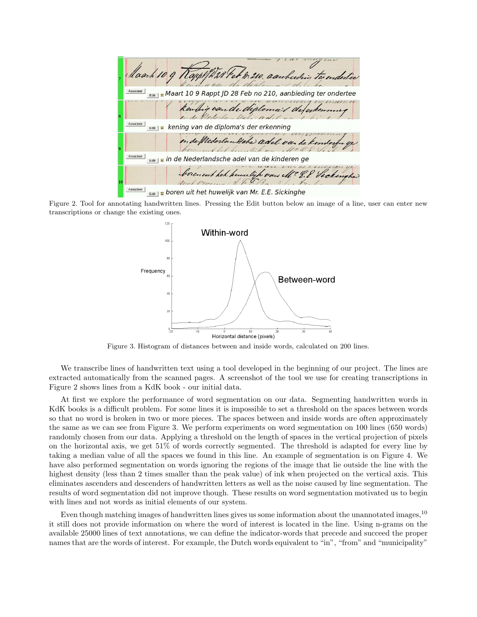|  | laach 10 9 Kappl 128 Feb 1: 210, aanheeding to ondertie                           |  |  |
|--|-----------------------------------------------------------------------------------|--|--|
|  | Associeer<br>Edit   B Maart 10 9 Rappt JD 28 Feb no 210, aanbieding ter ondertee  |  |  |
|  | kompig van de diplomais de forkenning<br>Mederlandscha Notel                      |  |  |
|  | Associee<br>$_{\text{Edi}$   $\blacksquare$ kening van de diploma's der erkenning |  |  |
|  | en de flederlandsche adel var de kinderfuge                                       |  |  |
|  | Associee<br>Edit   El in de Nederlandsche adel van de kinderen ge                 |  |  |
|  | boreneut het humbijk van M ? E. E. Seckinghe                                      |  |  |
|  |                                                                                   |  |  |

 $^\perp$   $_{\texttt{\tiny{Edd}} + \texttt{\tiny{I\!I\!I}}}$  boren uit het huwelijk van Mr. E.E. Sickinghe

Figure 2. Tool for annotating handwritten lines. Pressing the Edit button below an image of a line, user can enter new transcriptions or change the existing ones.



Figure 3. Histogram of distances between and inside words, calculated on 200 lines.

We transcribe lines of handwritten text using a tool developed in the beginning of our project. The lines are extracted automatically from the scanned pages. A screenshot of the tool we use for creating transcriptions in Figure 2 shows lines from a KdK book - our initial data.

At first we explore the performance of word segmentation on our data. Segmenting handwritten words in KdK books is a difficult problem. For some lines it is impossible to set a threshold on the spaces between words so that no word is broken in two or more pieces. The spaces between and inside words are often approximately the same as we can see from Figure 3. We perform experiments on word segmentation on 100 lines (650 words) randomly chosen from our data. Applying a threshold on the length of spaces in the vertical projection of pixels on the horizontal axis, we get 51% of words correctly segmented. The threshold is adapted for every line by taking a median value of all the spaces we found in this line. An example of segmentation is on Figure 4. We have also performed segmentation on words ignoring the regions of the image that lie outside the line with the highest density (less than 2 times smaller than the peak value) of ink when projected on the vertical axis. This eliminates ascenders and descenders of handwritten letters as well as the noise caused by line segmentation. The results of word segmentation did not improve though. These results on word segmentation motivated us to begin with lines and not words as initial elements of our system.

Even though matching images of handwritten lines gives us some information about the unannotated images,<sup>10</sup> it still does not provide information on where the word of interest is located in the line. Using n-grams on the available 25000 lines of text annotations, we can define the indicator-words that precede and succeed the proper names that are the words of interest. For example, the Dutch words equivalent to "in", "from" and "municipality"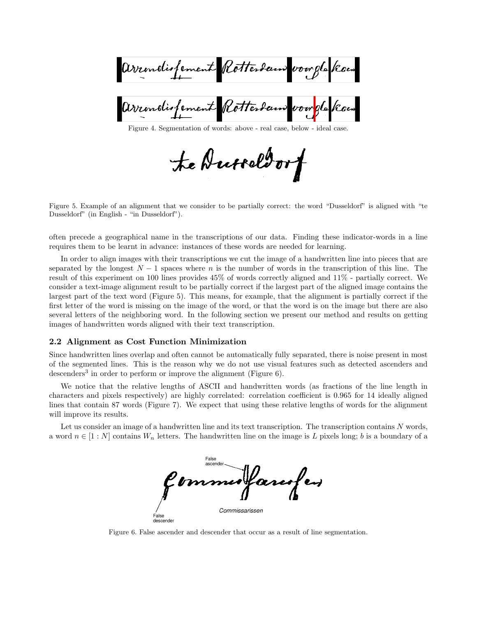Arrondisfement Rotterdam voorgle Arrivolis fement Rotterdam von

Figure 4. Segmentation of words: above - real case, below - ideal case.

the Durrelsorf

Figure 5. Example of an alignment that we consider to be partially correct: the word "Dusseldorf" is aligned with "te Dusseldorf" (in English - "in Dusseldorf").

often precede a geographical name in the transcriptions of our data. Finding these indicator-words in a line requires them to be learnt in advance: instances of these words are needed for learning.

In order to align images with their transcriptions we cut the image of a handwritten line into pieces that are separated by the longest  $N-1$  spaces where n is the number of words in the transcription of this line. The result of this experiment on 100 lines provides 45% of words correctly aligned and 11% - partially correct. We consider a text-image alignment result to be partially correct if the largest part of the aligned image contains the largest part of the text word (Figure 5). This means, for example, that the alignment is partially correct if the first letter of the word is missing on the image of the word, or that the word is on the image but there are also several letters of the neighboring word. In the following section we present our method and results on getting images of handwritten words aligned with their text transcription.

#### 2.2 Alignment as Cost Function Minimization

Since handwritten lines overlap and often cannot be automatically fully separated, there is noise present in most of the segmented lines. This is the reason why we do not use visual features such as detected ascenders and descenders<sup>3</sup> in order to perform or improve the alignment (Figure 6).

We notice that the relative lengths of ASCII and handwritten words (as fractions of the line length in characters and pixels respectively) are highly correlated: correlation coefficient is 0.965 for 14 ideally aligned lines that contain 87 words (Figure 7). We expect that using these relative lengths of words for the alignment will improve its results.

Let us consider an image of a handwritten line and its text transcription. The transcription contains N words, a word  $n \in [1:N]$  contains  $W_n$  letters. The handwritten line on the image is L pixels long; b is a boundary of a



Figure 6. False ascender and descender that occur as a result of line segmentation.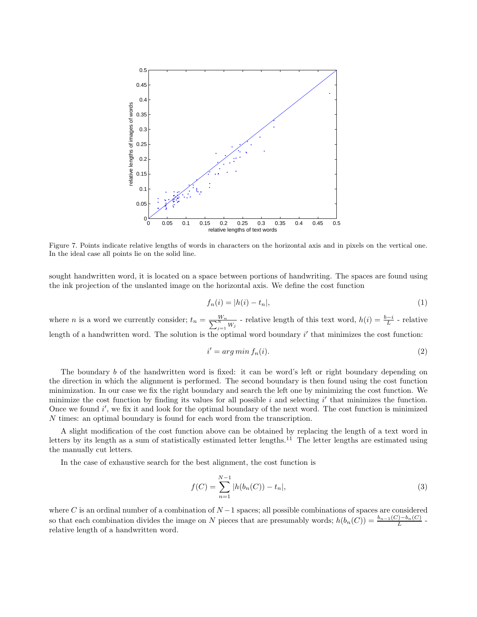

Figure 7. Points indicate relative lengths of words in characters on the horizontal axis and in pixels on the vertical one. In the ideal case all points lie on the solid line.

sought handwritten word, it is located on a space between portions of handwriting. The spaces are found using the ink projection of the unslanted image on the horizontal axis. We define the cost function

$$
f_n(i) = |h(i) - t_n|,\t\t(1)
$$

where *n* is a word we currently consider;  $t_n = \frac{W_n}{\sum_{j=1}^{N} W_j}$ - relative length of this text word,  $h(i) = \frac{b-i}{L}$  - relative length of a handwritten word. The solution is the optimal word boundary  $i'$  that minimizes the cost function:  $\overline{1}$ 

$$
i' = \arg\min f_n(i). \tag{2}
$$

The boundary b of the handwritten word is fixed: it can be word's left or right boundary depending on the direction in which the alignment is performed. The second boundary is then found using the cost function minimization. In our case we fix the right boundary and search the left one by minimizing the cost function. We minimize the cost function by finding its values for all possible  $i$  and selecting  $i'$  that minimizes the function. Once we found  $i'$ , we fix it and look for the optimal boundary of the next word. The cost function is minimized N times: an optimal boundary is found for each word from the transcription.

A slight modification of the cost function above can be obtained by replacing the length of a text word in letters by its length as a sum of statistically estimated letter lengths.<sup>11</sup> The letter lengths are estimated using the manually cut letters.

In the case of exhaustive search for the best alignment, the cost function is

$$
f(C) = \sum_{n=1}^{N-1} |h(b_n(C)) - t_n|,
$$
\n(3)

where C is an ordinal number of a combination of  $N-1$  spaces; all possible combinations of spaces are considered so that each combination divides the image on N pieces that are presumably words;  $h(b_n(C)) = \frac{b_{n-1}(C) - b_n(C)}{L}$ relative length of a handwritten word.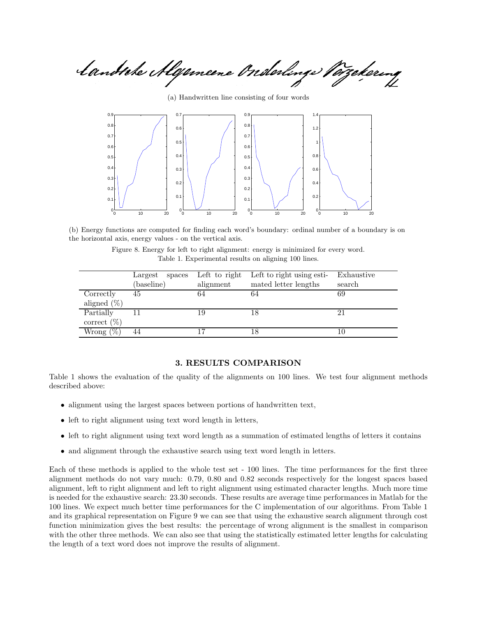landreke Migemeene Onderlinge Pazekering

(a) Handwritten line consisting of four words



(b) Energy functions are computed for finding each word's boundary: ordinal number of a boundary is on the horizontal axis, energy values - on the vertical axis.

> Figure 8. Energy for left to right alignment: energy is minimized for every word. Table 1. Experimental results on aligning 100 lines.

|                | Largest<br>spaces | Left to right | Left to right using esti- | Exhaustive |
|----------------|-------------------|---------------|---------------------------|------------|
|                | (baseline)        | alignment     | mated letter lengths      | search     |
| Correctly      | 45                | 64            |                           | 69         |
| aligned $(\%)$ |                   |               |                           |            |
| Partially      |                   |               |                           |            |
| correct $(\%)$ |                   |               |                           |            |
| Wrong $(\%)$   | 44                |               |                           |            |

#### 3. RESULTS COMPARISON

Table 1 shows the evaluation of the quality of the alignments on 100 lines. We test four alignment methods described above:

- alignment using the largest spaces between portions of handwritten text,
- left to right alignment using text word length in letters,
- left to right alignment using text word length as a summation of estimated lengths of letters it contains
- and alignment through the exhaustive search using text word length in letters.

Each of these methods is applied to the whole test set - 100 lines. The time performances for the first three alignment methods do not vary much: 0.79, 0.80 and 0.82 seconds respectively for the longest spaces based alignment, left to right alignment and left to right alignment using estimated character lengths. Much more time is needed for the exhaustive search: 23.30 seconds. These results are average time performances in Matlab for the 100 lines. We expect much better time performances for the C implementation of our algorithms. From Table 1 and its graphical representation on Figure 9 we can see that using the exhaustive search alignment through cost function minimization gives the best results: the percentage of wrong alignment is the smallest in comparison with the other three methods. We can also see that using the statistically estimated letter lengths for calculating the length of a text word does not improve the results of alignment.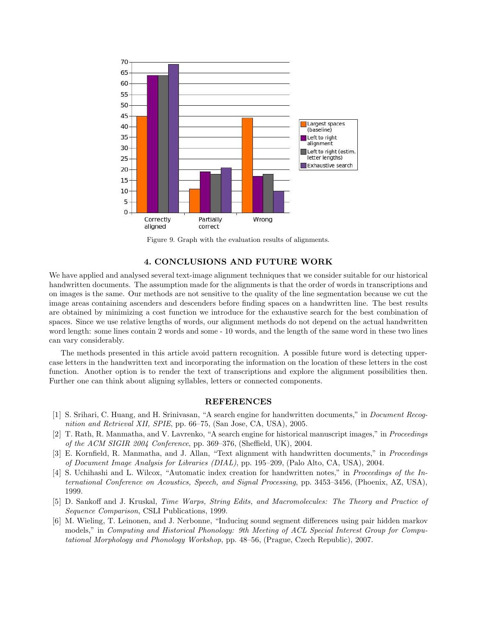

Figure 9. Graph with the evaluation results of alignments.

## 4. CONCLUSIONS AND FUTURE WORK

We have applied and analysed several text-image alignment techniques that we consider suitable for our historical handwritten documents. The assumption made for the alignments is that the order of words in transcriptions and on images is the same. Our methods are not sensitive to the quality of the line segmentation because we cut the image areas containing ascenders and descenders before finding spaces on a handwritten line. The best results are obtained by minimizing a cost function we introduce for the exhaustive search for the best combination of spaces. Since we use relative lengths of words, our alignment methods do not depend on the actual handwritten word length: some lines contain 2 words and some - 10 words, and the length of the same word in these two lines can vary considerably.

The methods presented in this article avoid pattern recognition. A possible future word is detecting uppercase letters in the handwritten text and incorporating the information on the location of these letters in the cost function. Another option is to render the text of transcriptions and explore the alignment possibilities then. Further one can think about aligning syllables, letters or connected components.

#### REFERENCES

- [1] S. Srihari, C. Huang, and H. Srinivasan, "A search engine for handwritten documents," in Document Recognition and Retrieval XII, SPIE, pp. 66–75, (San Jose, CA, USA), 2005.
- [2] T. Rath, R. Manmatha, and V. Lavrenko, "A search engine for historical manuscript images," in Proceedings of the ACM SIGIR 2004 Conference, pp. 369–376, (Sheffield, UK), 2004.
- [3] E. Kornfield, R. Manmatha, and J. Allan, "Text alignment with handwritten documents," in Proceedings of Document Image Analysis for Libraries (DIAL), pp. 195–209, (Palo Alto, CA, USA), 2004.
- [4] S. Uchihashi and L. Wilcox, "Automatic index creation for handwritten notes," in Proceedings of the International Conference on Acoustics, Speech, and Signal Processing, pp. 3453–3456, (Phoenix, AZ, USA), 1999.
- [5] D. Sankoff and J. Kruskal, Time Warps, String Edits, and Macromolecules: The Theory and Practice of Sequence Comparison, CSLI Publications, 1999.
- [6] M. Wieling, T. Leinonen, and J. Nerbonne, "Inducing sound segment differences using pair hidden markov models," in Computing and Historical Phonology: 9th Meeting of ACL Special Interest Group for Computational Morphology and Phonology Workshop, pp. 48–56, (Prague, Czech Republic), 2007.